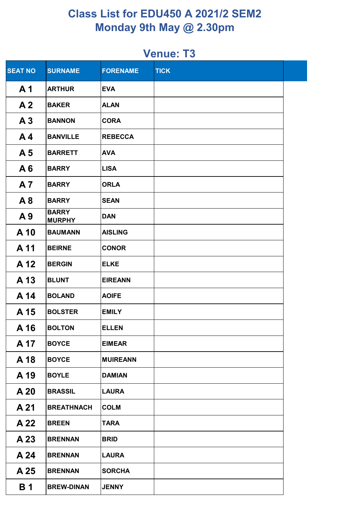| <b>SEAT NO</b> | <b>SURNAME</b>                | <b>FORENAME</b> | <b>TICK</b> |  |
|----------------|-------------------------------|-----------------|-------------|--|
| A <sub>1</sub> | <b>ARTHUR</b>                 | <b>EVA</b>      |             |  |
| A <sub>2</sub> | <b>BAKER</b>                  | <b>ALAN</b>     |             |  |
| A <sub>3</sub> | <b>BANNON</b>                 | <b>CORA</b>     |             |  |
| A <sub>4</sub> | <b>BANVILLE</b>               | <b>REBECCA</b>  |             |  |
| A <sub>5</sub> | <b>BARRETT</b>                | <b>AVA</b>      |             |  |
| A6             | <b>BARRY</b>                  | <b>LISA</b>     |             |  |
| A <sub>7</sub> | <b>BARRY</b>                  | <b>ORLA</b>     |             |  |
| A8             | <b>BARRY</b>                  | <b>SEAN</b>     |             |  |
| A9             | <b>BARRY</b><br><b>MURPHY</b> | <b>DAN</b>      |             |  |
| A 10           | <b>BAUMANN</b>                | <b>AISLING</b>  |             |  |
| A 11           | <b>BEIRNE</b>                 | <b>CONOR</b>    |             |  |
| A 12           | <b>BERGIN</b>                 | <b>ELKE</b>     |             |  |
| A 13           | <b>BLUNT</b>                  | <b>EIREANN</b>  |             |  |
| A 14           | <b>BOLAND</b>                 | <b>AOIFE</b>    |             |  |
| A 15           | <b>BOLSTER</b>                | <b>EMILY</b>    |             |  |
| A 16           | <b>BOLTON</b>                 | <b>ELLEN</b>    |             |  |
| A 17           | <b>BOYCE</b>                  | <b>EIMEAR</b>   |             |  |
| A 18           | <b>BOYCE</b>                  | <b>MUIREANN</b> |             |  |
| A 19           | <b>BOYLE</b>                  | <b>DAMIAN</b>   |             |  |
| A 20           | <b>BRASSIL</b>                | <b>LAURA</b>    |             |  |
| A 21           | <b>BREATHNACH</b>             | <b>COLM</b>     |             |  |
| A 22           | <b>BREEN</b>                  | <b>TARA</b>     |             |  |
| A 23           | <b>BRENNAN</b>                | <b>BRID</b>     |             |  |
| A 24           | <b>BRENNAN</b>                | <b>LAURA</b>    |             |  |
| A 25           | <b>BRENNAN</b>                | <b>SORCHA</b>   |             |  |
| <b>B</b> 1     | <b>BREW-DINAN</b>             | <b>JENNY</b>    |             |  |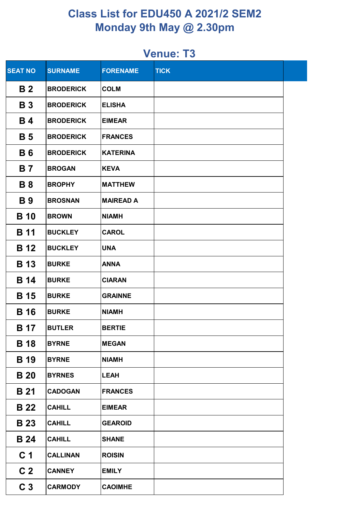| <b>SEAT NO</b>        | <b>SURNAME</b>   | <b>FORENAME</b>  | <b>TICK</b> |  |
|-----------------------|------------------|------------------|-------------|--|
| <b>B2</b>             | <b>BRODERICK</b> | <b>COLM</b>      |             |  |
| <b>B3</b>             | <b>BRODERICK</b> | <b>ELISHA</b>    |             |  |
| <b>B</b> 4            | <b>BRODERICK</b> | <b>EIMEAR</b>    |             |  |
| <b>B</b> 5            | <b>BRODERICK</b> | <b>FRANCES</b>   |             |  |
| <b>B6</b>             | <b>BRODERICK</b> | <b>KATERINA</b>  |             |  |
| <b>B</b> 7            | <b>BROGAN</b>    | <b>KEVA</b>      |             |  |
| <b>B</b> 8            | <b>BROPHY</b>    | <b>MATTHEW</b>   |             |  |
| <b>B</b> <sub>9</sub> | <b>BROSNAN</b>   | <b>MAIREAD A</b> |             |  |
| <b>B</b> 10           | <b>BROWN</b>     | <b>NIAMH</b>     |             |  |
| <b>B</b> 11           | <b>BUCKLEY</b>   | <b>CAROL</b>     |             |  |
| <b>B</b> 12           | <b>BUCKLEY</b>   | <b>UNA</b>       |             |  |
| <b>B</b> 13           | <b>BURKE</b>     | <b>ANNA</b>      |             |  |
| <b>B</b> 14           | <b>BURKE</b>     | <b>CIARAN</b>    |             |  |
| <b>B</b> 15           | <b>BURKE</b>     | <b>GRAINNE</b>   |             |  |
| <b>B</b> 16           | <b>BURKE</b>     | <b>NIAMH</b>     |             |  |
| <b>B</b> 17           | <b>BUTLER</b>    | <b>BERTIE</b>    |             |  |
| <b>B</b> 18           | <b>BYRNE</b>     | <b>MEGAN</b>     |             |  |
| <b>B</b> 19           | <b>BYRNE</b>     | <b>NIAMH</b>     |             |  |
| <b>B</b> 20           | <b>BYRNES</b>    | <b>LEAH</b>      |             |  |
| <b>B</b> 21           | <b>CADOGAN</b>   | <b>FRANCES</b>   |             |  |
| <b>B</b> 22           | <b>CAHILL</b>    | <b>EIMEAR</b>    |             |  |
| <b>B</b> 23           | <b>CAHILL</b>    | <b>GEAROID</b>   |             |  |
| <b>B</b> 24           | <b>CAHILL</b>    | <b>SHANE</b>     |             |  |
| C <sub>1</sub>        | <b>CALLINAN</b>  | <b>ROISIN</b>    |             |  |
| C <sub>2</sub>        | <b>CANNEY</b>    | <b>EMILY</b>     |             |  |
| C <sub>3</sub>        | <b>CARMODY</b>   | <b>CAOIMHE</b>   |             |  |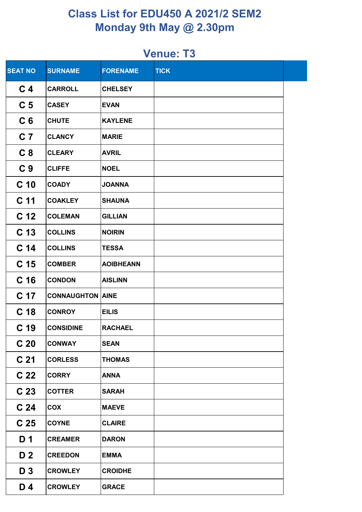| <b>SEAT NO</b>  | <b>SURNAME</b>          | <b>FORENAME</b>  | <b>TICK</b> |  |
|-----------------|-------------------------|------------------|-------------|--|
| C <sub>4</sub>  | <b>CARROLL</b>          | <b>CHELSEY</b>   |             |  |
| C <sub>5</sub>  | <b>CASEY</b>            | <b>EVAN</b>      |             |  |
| C <sub>6</sub>  | <b>CHUTE</b>            | <b>KAYLENE</b>   |             |  |
| C <sub>7</sub>  | <b>CLANCY</b>           | <b>MARIE</b>     |             |  |
| C <sub>8</sub>  | <b>CLEARY</b>           | <b>AVRIL</b>     |             |  |
| C <sub>9</sub>  | <b>CLIFFE</b>           | <b>NOEL</b>      |             |  |
| C <sub>10</sub> | <b>COADY</b>            | <b>JOANNA</b>    |             |  |
| C <sub>11</sub> | <b>COAKLEY</b>          | <b>SHAUNA</b>    |             |  |
| C <sub>12</sub> | <b>COLEMAN</b>          | <b>GILLIAN</b>   |             |  |
| C <sub>13</sub> | <b>COLLINS</b>          | <b>NOIRIN</b>    |             |  |
| C <sub>14</sub> | <b>COLLINS</b>          | <b>TESSA</b>     |             |  |
| C <sub>15</sub> | <b>COMBER</b>           | <b>AOIBHEANN</b> |             |  |
| C <sub>16</sub> | <b>CONDON</b>           | <b>AISLINN</b>   |             |  |
| C 17            | <b>CONNAUGHTON AINE</b> |                  |             |  |
| C <sub>18</sub> | <b>CONROY</b>           | <b>EILIS</b>     |             |  |
| C <sub>19</sub> | <b>CONSIDINE</b>        | <b>RACHAEL</b>   |             |  |
| C <sub>20</sub> | <b>CONWAY</b>           | <b>SEAN</b>      |             |  |
| C <sub>21</sub> | <b>CORLESS</b>          | <b>THOMAS</b>    |             |  |
| C <sub>22</sub> | <b>CORRY</b>            | <b>ANNA</b>      |             |  |
| C <sub>23</sub> | <b>COTTER</b>           | <b>SARAH</b>     |             |  |
| C <sub>24</sub> | <b>COX</b>              | <b>MAEVE</b>     |             |  |
| C <sub>25</sub> | <b>COYNE</b>            | <b>CLAIRE</b>    |             |  |
| D <sub>1</sub>  | <b>CREAMER</b>          | <b>DARON</b>     |             |  |
| D <sub>2</sub>  | <b>CREEDON</b>          | <b>EMMA</b>      |             |  |
| D <sub>3</sub>  | <b>CROWLEY</b>          | <b>CROIDHE</b>   |             |  |
| $D_4$           | <b>CROWLEY</b>          | <b>GRACE</b>     |             |  |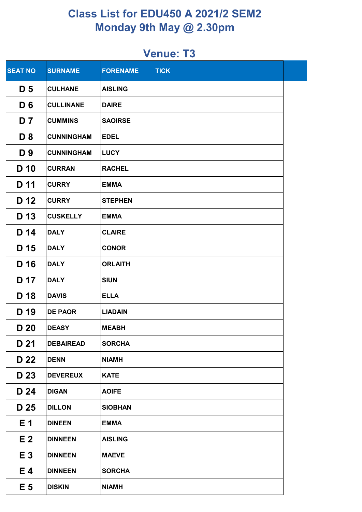| <b>SEAT NO</b> | <b>SURNAME</b>    | <b>FORENAME</b> | <b>TICK</b> |  |
|----------------|-------------------|-----------------|-------------|--|
| D <sub>5</sub> | <b>CULHANE</b>    | <b>AISLING</b>  |             |  |
| D <sub>6</sub> | <b>CULLINANE</b>  | <b>DAIRE</b>    |             |  |
| D <sub>7</sub> | <b>CUMMINS</b>    | <b>SAOIRSE</b>  |             |  |
| D <sub>8</sub> | <b>CUNNINGHAM</b> | <b>EDEL</b>     |             |  |
| D 9            | <b>CUNNINGHAM</b> | <b>LUCY</b>     |             |  |
| D 10           | <b>CURRAN</b>     | <b>RACHEL</b>   |             |  |
| D 11           | <b>CURRY</b>      | <b>EMMA</b>     |             |  |
| D 12           | <b>CURRY</b>      | <b>STEPHEN</b>  |             |  |
| D 13           | <b>CUSKELLY</b>   | <b>EMMA</b>     |             |  |
| D 14           | <b>DALY</b>       | <b>CLAIRE</b>   |             |  |
| D 15           | <b>DALY</b>       | <b>CONOR</b>    |             |  |
| D 16           | <b>DALY</b>       | <b>ORLAITH</b>  |             |  |
| D 17           | <b>DALY</b>       | <b>SIUN</b>     |             |  |
| D 18           | <b>DAVIS</b>      | <b>ELLA</b>     |             |  |
| D 19           | <b>DE PAOR</b>    | <b>LIADAIN</b>  |             |  |
| D 20           | <b>DEASY</b>      | <b>MEABH</b>    |             |  |
| D 21           | <b>DEBAIREAD</b>  | <b>SORCHA</b>   |             |  |
| D 22           | <b>DENN</b>       | <b>NIAMH</b>    |             |  |
| D 23           | <b>DEVEREUX</b>   | <b>KATE</b>     |             |  |
| D 24           | <b>DIGAN</b>      | <b>AOIFE</b>    |             |  |
| D 25           | <b>DILLON</b>     | <b>SIOBHAN</b>  |             |  |
| E <sub>1</sub> | <b>DINEEN</b>     | <b>EMMA</b>     |             |  |
| E <sub>2</sub> | <b>DINNEEN</b>    | <b>AISLING</b>  |             |  |
| E <sub>3</sub> | <b>DINNEEN</b>    | <b>MAEVE</b>    |             |  |
| E4             | <b>DINNEEN</b>    | <b>SORCHA</b>   |             |  |
| E <sub>5</sub> | <b>DISKIN</b>     | <b>NIAMH</b>    |             |  |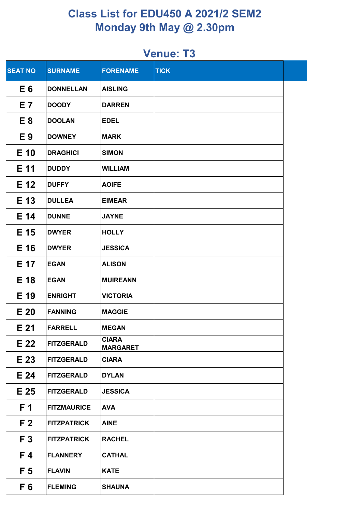| <b>SEAT NO</b>  | <b>SURNAME</b>     | <b>FORENAME</b>                 | <b>TICK</b> |  |
|-----------------|--------------------|---------------------------------|-------------|--|
| E 6             | <b>DONNELLAN</b>   | <b>AISLING</b>                  |             |  |
| E 7             | <b>DOODY</b>       | <b>DARREN</b>                   |             |  |
| E <sub>8</sub>  | <b>DOOLAN</b>      | <b>EDEL</b>                     |             |  |
| E9              | <b>DOWNEY</b>      | <b>MARK</b>                     |             |  |
| E 10            | <b>DRAGHICI</b>    | <b>SIMON</b>                    |             |  |
| E 11            | <b>DUDDY</b>       | <b>WILLIAM</b>                  |             |  |
| E 12            | <b>DUFFY</b>       | <b>AOIFE</b>                    |             |  |
| E 13            | <b>DULLEA</b>      | <b>EIMEAR</b>                   |             |  |
| E 14            | <b>DUNNE</b>       | <b>JAYNE</b>                    |             |  |
| E 15            | <b>DWYER</b>       | <b>HOLLY</b>                    |             |  |
| E 16            | <b>DWYER</b>       | <b>JESSICA</b>                  |             |  |
| E 17            | <b>EGAN</b>        | <b>ALISON</b>                   |             |  |
| E 18            | <b>EGAN</b>        | <b>MUIREANN</b>                 |             |  |
| E 19            | <b>ENRIGHT</b>     | <b>VICTORIA</b>                 |             |  |
| E <sub>20</sub> | <b>FANNING</b>     | <b>MAGGIE</b>                   |             |  |
| E <sub>21</sub> | <b>FARRELL</b>     | <b>MEGAN</b>                    |             |  |
| E 22            | <b>FITZGERALD</b>  | <b>CIARA</b><br><b>MARGARET</b> |             |  |
| E 23            | <b>FITZGERALD</b>  | <b>CIARA</b>                    |             |  |
| E 24            | <b>FITZGERALD</b>  | <b>DYLAN</b>                    |             |  |
| E 25            | <b>FITZGERALD</b>  | <b>JESSICA</b>                  |             |  |
| F 1             | <b>FITZMAURICE</b> | <b>AVA</b>                      |             |  |
| F <sub>2</sub>  | <b>FITZPATRICK</b> | <b>AINE</b>                     |             |  |
| F <sub>3</sub>  | <b>FITZPATRICK</b> | <b>RACHEL</b>                   |             |  |
| F 4             | <b>FLANNERY</b>    | <b>CATHAL</b>                   |             |  |
| F <sub>5</sub>  | <b>FLAVIN</b>      | <b>KATE</b>                     |             |  |
| F <sub>6</sub>  | <b>FLEMING</b>     | <b>SHAUNA</b>                   |             |  |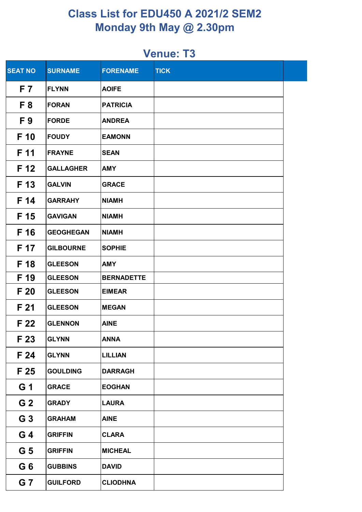| <b>SEAT NO</b> | <b>SURNAME</b>   | <b>FORENAME</b>   | <b>TICK</b> |  |
|----------------|------------------|-------------------|-------------|--|
| F 7            | <b>FLYNN</b>     | <b>AOIFE</b>      |             |  |
| F <sub>8</sub> | <b>FORAN</b>     | <b>PATRICIA</b>   |             |  |
| F <sub>9</sub> | <b>FORDE</b>     | <b>ANDREA</b>     |             |  |
| F 10           | <b>FOUDY</b>     | <b>EAMONN</b>     |             |  |
| F 11           | <b>FRAYNE</b>    | <b>SEAN</b>       |             |  |
| F 12           | <b>GALLAGHER</b> | <b>AMY</b>        |             |  |
| F 13           | <b>GALVIN</b>    | <b>GRACE</b>      |             |  |
| F 14           | <b>GARRAHY</b>   | <b>NIAMH</b>      |             |  |
| F 15           | <b>GAVIGAN</b>   | <b>NIAMH</b>      |             |  |
| F 16           | <b>GEOGHEGAN</b> | <b>NIAMH</b>      |             |  |
| F 17           | <b>GILBOURNE</b> | <b>SOPHIE</b>     |             |  |
| F 18           | <b>GLEESON</b>   | <b>AMY</b>        |             |  |
| F 19           | <b>GLEESON</b>   | <b>BERNADETTE</b> |             |  |
| F 20           | <b>GLEESON</b>   | <b>EIMEAR</b>     |             |  |
| F 21           | <b>GLEESON</b>   | <b>MEGAN</b>      |             |  |
| F 22           | <b>GLENNON</b>   | <b>AINE</b>       |             |  |
| F 23           | <b>GLYNN</b>     | <b>ANNA</b>       |             |  |
| F 24           | <b>GLYNN</b>     | <b>LILLIAN</b>    |             |  |
| F 25           | <b>GOULDING</b>  | <b>DARRAGH</b>    |             |  |
| G 1            | <b>GRACE</b>     | <b>EOGHAN</b>     |             |  |
| G <sub>2</sub> | <b>GRADY</b>     | <b>LAURA</b>      |             |  |
| G <sub>3</sub> | <b>GRAHAM</b>    | <b>AINE</b>       |             |  |
| G 4            | <b>GRIFFIN</b>   | <b>CLARA</b>      |             |  |
| G <sub>5</sub> | <b>GRIFFIN</b>   | <b>MICHEAL</b>    |             |  |
| G <sub>6</sub> | <b>GUBBINS</b>   | <b>DAVID</b>      |             |  |
| G <sub>7</sub> | <b>GUILFORD</b>  | <b>CLIODHNA</b>   |             |  |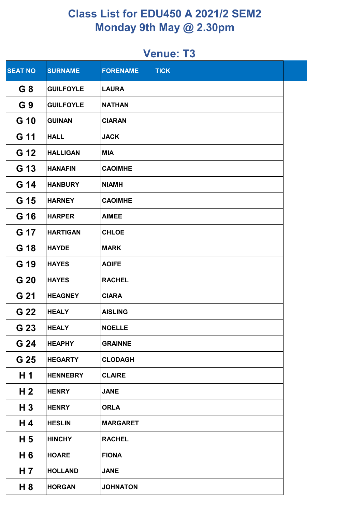| <b>SEAT NO</b> | <b>SURNAME</b>   | <b>FORENAME</b> | <b>TICK</b> |  |
|----------------|------------------|-----------------|-------------|--|
| G8             | <b>GUILFOYLE</b> | <b>LAURA</b>    |             |  |
| G 9            | <b>GUILFOYLE</b> | <b>NATHAN</b>   |             |  |
| G 10           | <b>GUINAN</b>    | <b>CIARAN</b>   |             |  |
| G 11           | <b>HALL</b>      | <b>JACK</b>     |             |  |
| G 12           | <b>HALLIGAN</b>  | <b>MIA</b>      |             |  |
| G 13           | <b>HANAFIN</b>   | <b>CAOIMHE</b>  |             |  |
| G 14           | <b>HANBURY</b>   | <b>NIAMH</b>    |             |  |
| G 15           | <b>HARNEY</b>    | <b>CAOIMHE</b>  |             |  |
| G 16           | <b>HARPER</b>    | <b>AIMEE</b>    |             |  |
| G 17           | <b>HARTIGAN</b>  | <b>CHLOE</b>    |             |  |
| G 18           | <b>HAYDE</b>     | <b>MARK</b>     |             |  |
| G 19           | <b>HAYES</b>     | <b>AOIFE</b>    |             |  |
| G 20           | <b>HAYES</b>     | <b>RACHEL</b>   |             |  |
| G 21           | <b>HEAGNEY</b>   | <b>CIARA</b>    |             |  |
| G 22           | <b>HEALY</b>     | <b>AISLING</b>  |             |  |
| G 23           | <b>HEALY</b>     | <b>NOELLE</b>   |             |  |
| G 24           | <b>HEAPHY</b>    | <b>GRAINNE</b>  |             |  |
| G 25           | <b>HEGARTY</b>   | <b>CLODAGH</b>  |             |  |
| H 1            | <b>HENNEBRY</b>  | <b>CLAIRE</b>   |             |  |
| H 2            | <b>HENRY</b>     | <b>JANE</b>     |             |  |
| $H_3$          | <b>HENRY</b>     | <b>ORLA</b>     |             |  |
| H 4            | <b>HESLIN</b>    | <b>MARGARET</b> |             |  |
| H <sub>5</sub> | <b>HINCHY</b>    | <b>RACHEL</b>   |             |  |
| H 6            | <b>HOARE</b>     | <b>FIONA</b>    |             |  |
| H 7            | <b>HOLLAND</b>   | <b>JANE</b>     |             |  |
| H 8            | <b>HORGAN</b>    | <b>JOHNATON</b> |             |  |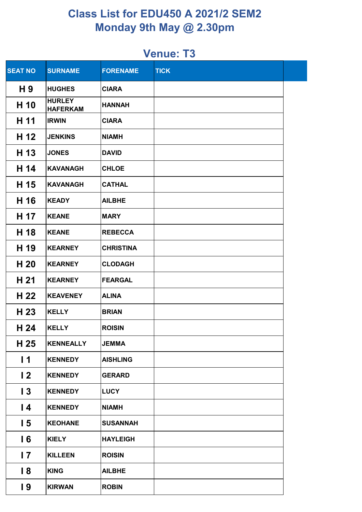| <b>SEAT NO</b>  | <b>SURNAME</b>                   | <b>FORENAME</b>  | <b>TICK</b> |  |
|-----------------|----------------------------------|------------------|-------------|--|
| H 9             | <b>HUGHES</b>                    | <b>CIARA</b>     |             |  |
| H 10            | <b>HURLEY</b><br><b>HAFERKAM</b> | <b>HANNAH</b>    |             |  |
| H 11            | <b>IRWIN</b>                     | <b>CIARA</b>     |             |  |
| H 12            | <b>JENKINS</b>                   | <b>NIAMH</b>     |             |  |
| H 13            | <b>JONES</b>                     | <b>DAVID</b>     |             |  |
| H 14            | <b>KAVANAGH</b>                  | <b>CHLOE</b>     |             |  |
| H 15            | <b>KAVANAGH</b>                  | <b>CATHAL</b>    |             |  |
| H 16            | <b>KEADY</b>                     | <b>AILBHE</b>    |             |  |
| H 17            | <b>KEANE</b>                     | <b>MARY</b>      |             |  |
| H 18            | <b>KEANE</b>                     | <b>REBECCA</b>   |             |  |
| H 19            | <b>KEARNEY</b>                   | <b>CHRISTINA</b> |             |  |
| H 20            | <b>KEARNEY</b>                   | <b>CLODAGH</b>   |             |  |
| H 21            | <b>KEARNEY</b>                   | <b>FEARGAL</b>   |             |  |
| H 22            | <b>KEAVENEY</b>                  | <b>ALINA</b>     |             |  |
| H 23            | <b>KELLY</b>                     | <b>BRIAN</b>     |             |  |
| H 24            | <b>KELLY</b>                     | <b>ROISIN</b>    |             |  |
| H 25            | <b>KENNEALLY</b>                 | <b>JEMMA</b>     |             |  |
| $\overline{11}$ | <b>KENNEDY</b>                   | <b>AISHLING</b>  |             |  |
| $\overline{2}$  | <b>KENNEDY</b>                   | <b>GERARD</b>    |             |  |
| $\overline{13}$ | <b>KENNEDY</b>                   | <b>LUCY</b>      |             |  |
| $\overline{14}$ | <b>KENNEDY</b>                   | <b>NIAMH</b>     |             |  |
| 15              | <b>KEOHANE</b>                   | <b>SUSANNAH</b>  |             |  |
| 16              | <b>KIELY</b>                     | <b>HAYLEIGH</b>  |             |  |
| $\overline{17}$ | <b>KILLEEN</b>                   | <b>ROISIN</b>    |             |  |
| $\overline{8}$  | <b>KING</b>                      | <b>AILBHE</b>    |             |  |
| $\overline{19}$ | <b>KIRWAN</b>                    | <b>ROBIN</b>     |             |  |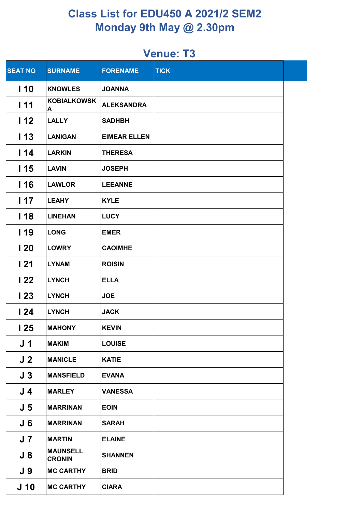| <b>SEAT NO</b>  | <b>SURNAME</b>                   | <b>FORENAME</b>     | <b>TICK</b> |  |
|-----------------|----------------------------------|---------------------|-------------|--|
| 110             | <b>KNOWLES</b>                   | <b>JOANNA</b>       |             |  |
| 111             | <b>KOBIALKOWSK</b><br>A          | <b>ALEKSANDRA</b>   |             |  |
| 112             | <b>LALLY</b>                     | <b>SADHBH</b>       |             |  |
| 113             | <b>LANIGAN</b>                   | <b>EIMEAR ELLEN</b> |             |  |
| 114             | LARKIN                           | <b>THERESA</b>      |             |  |
| I 15            | <b>LAVIN</b>                     | <b>JOSEPH</b>       |             |  |
| 116             | <b>LAWLOR</b>                    | <b>LEEANNE</b>      |             |  |
| 117             | <b>LEAHY</b>                     | <b>KYLE</b>         |             |  |
| 118             | <b>LINEHAN</b>                   | <b>LUCY</b>         |             |  |
| l 19            | LONG                             | <b>EMER</b>         |             |  |
| 120             | <b>LOWRY</b>                     | <b>CAOIMHE</b>      |             |  |
| 121             | <b>LYNAM</b>                     | <b>ROISIN</b>       |             |  |
| 122             | <b>LYNCH</b>                     | <b>ELLA</b>         |             |  |
| 123             | <b>LYNCH</b>                     | <b>JOE</b>          |             |  |
| 124             | <b>LYNCH</b>                     | <b>JACK</b>         |             |  |
| 125             | <b>MAHONY</b>                    | <b>KEVIN</b>        |             |  |
| J <sub>1</sub>  | <b>MAKIM</b>                     | <b>LOUISE</b>       |             |  |
| J <sub>2</sub>  | <b>MANICLE</b>                   | <b>KATIE</b>        |             |  |
| J <sub>3</sub>  | <b>MANSFIELD</b>                 | <b>EVANA</b>        |             |  |
| J 4             | <b>MARLEY</b>                    | <b>VANESSA</b>      |             |  |
| J <sub>5</sub>  | <b>MARRINAN</b>                  | <b>EOIN</b>         |             |  |
| J 6             | <b>MARRINAN</b>                  | <b>SARAH</b>        |             |  |
| J 7             | <b>MARTIN</b>                    | <b>ELAINE</b>       |             |  |
| $J_8$           | <b>MAUNSELL</b><br><b>CRONIN</b> | <b>SHANNEN</b>      |             |  |
| J 9             | <b>MC CARTHY</b>                 | <b>BRID</b>         |             |  |
| J <sub>10</sub> | <b>MC CARTHY</b>                 | <b>CIARA</b>        |             |  |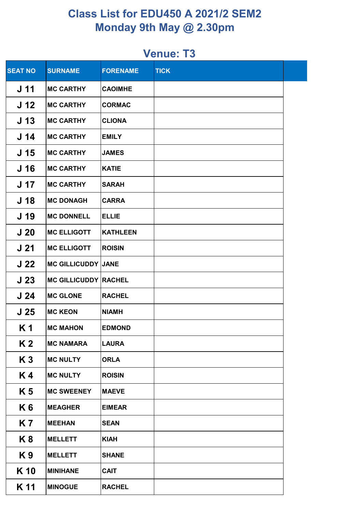| <b>SEAT NO</b>  | <b>SURNAME</b>              | <b>FORENAME</b> | <b>TICK</b> |  |
|-----------------|-----------------------------|-----------------|-------------|--|
| J 11            | <b>MC CARTHY</b>            | <b>CAOIMHE</b>  |             |  |
| J <sub>12</sub> | <b>MC CARTHY</b>            | <b>CORMAC</b>   |             |  |
| J <sub>13</sub> | <b>MC CARTHY</b>            | <b>CLIONA</b>   |             |  |
| J <sub>14</sub> | <b>MC CARTHY</b>            | <b>EMILY</b>    |             |  |
| J 15            | <b>MC CARTHY</b>            | <b>JAMES</b>    |             |  |
| J 16            | <b>MC CARTHY</b>            | <b>KATIE</b>    |             |  |
| J 17            | <b>MC CARTHY</b>            | <b>SARAH</b>    |             |  |
| J <sub>18</sub> | <b>MC DONAGH</b>            | <b>CARRA</b>    |             |  |
| J 19            | <b>MC DONNELL</b>           | <b>ELLIE</b>    |             |  |
| J <sub>20</sub> | <b>MC ELLIGOTT</b>          | <b>KATHLEEN</b> |             |  |
| J <sub>21</sub> | <b>MC ELLIGOTT</b>          | <b>ROISIN</b>   |             |  |
| J <sub>22</sub> | <b>MC GILLICUDDY JANE</b>   |                 |             |  |
| J <sub>23</sub> | <b>MC GILLICUDDY RACHEL</b> |                 |             |  |
| J <sub>24</sub> | <b>MC GLONE</b>             | <b>RACHEL</b>   |             |  |
| J <sub>25</sub> | <b>MC KEON</b>              | <b>NIAMH</b>    |             |  |
| K 1             | <b>MC MAHON</b>             | <b>EDMOND</b>   |             |  |
| K <sub>2</sub>  | <b>MC NAMARA</b>            | <b>LAURA</b>    |             |  |
| K <sub>3</sub>  | <b>MC NULTY</b>             | <b>ORLA</b>     |             |  |
| K4              | <b>MC NULTY</b>             | <b>ROISIN</b>   |             |  |
| K 5             | <b>MC SWEENEY</b>           | <b>MAEVE</b>    |             |  |
| K 6             | <b>MEAGHER</b>              | <b>EIMEAR</b>   |             |  |
| <b>K7</b>       | <b>MEEHAN</b>               | <b>SEAN</b>     |             |  |
| K <sub>8</sub>  | <b>MELLETT</b>              | <b>KIAH</b>     |             |  |
| K9              | <b>MELLETT</b>              | <b>SHANE</b>    |             |  |
| K 10            | <b>MINIHANE</b>             | <b>CAIT</b>     |             |  |
| K 11            | <b>MINOGUE</b>              | <b>RACHEL</b>   |             |  |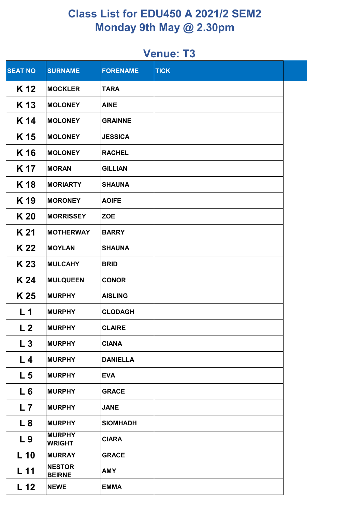| <b>SEAT NO</b>  | <b>SURNAME</b>                 | <b>FORENAME</b> | <b>TICK</b> |  |
|-----------------|--------------------------------|-----------------|-------------|--|
| K 12            | <b>MOCKLER</b>                 | <b>TARA</b>     |             |  |
| K 13            | <b>MOLONEY</b>                 | <b>AINE</b>     |             |  |
| K 14            | <b>MOLONEY</b>                 | <b>GRAINNE</b>  |             |  |
| K 15            | <b>MOLONEY</b>                 | <b>JESSICA</b>  |             |  |
| K 16            | <b>MOLONEY</b>                 | <b>RACHEL</b>   |             |  |
| K 17            | <b>MORAN</b>                   | <b>GILLIAN</b>  |             |  |
| K 18            | <b>MORIARTY</b>                | <b>SHAUNA</b>   |             |  |
| K 19            | <b>MORONEY</b>                 | <b>AOIFE</b>    |             |  |
| K 20            | <b>MORRISSEY</b>               | <b>ZOE</b>      |             |  |
| K 21            | <b>MOTHERWAY</b>               | <b>BARRY</b>    |             |  |
| K 22            | <b>MOYLAN</b>                  | <b>SHAUNA</b>   |             |  |
| K 23            | <b>MULCAHY</b>                 | <b>BRID</b>     |             |  |
| K 24            | <b>MULQUEEN</b>                | <b>CONOR</b>    |             |  |
| K 25            | <b>MURPHY</b>                  | <b>AISLING</b>  |             |  |
| L <sub>1</sub>  | <b>MURPHY</b>                  | <b>CLODAGH</b>  |             |  |
| L <sub>2</sub>  | <b>MURPHY</b>                  | <b>CLAIRE</b>   |             |  |
| $L_3$           | <b>MURPHY</b>                  | <b>CIANA</b>    |             |  |
| L <sub>4</sub>  | <b>MURPHY</b>                  | <b>DANIELLA</b> |             |  |
| L <sub>5</sub>  | <b>MURPHY</b>                  | <b>EVA</b>      |             |  |
| L6              | <b>MURPHY</b>                  | <b>GRACE</b>    |             |  |
| L <sub>7</sub>  | <b>MURPHY</b>                  | <b>JANE</b>     |             |  |
| L8              | <b>MURPHY</b>                  | <b>SIOMHADH</b> |             |  |
| L <sub>9</sub>  | <b>MURPHY</b><br><b>WRIGHT</b> | <b>CIARA</b>    |             |  |
| $L$ 10          | <b>MURRAY</b>                  | <b>GRACE</b>    |             |  |
| L <sub>11</sub> | <b>NESTOR</b><br><b>BEIRNE</b> | <b>AMY</b>      |             |  |
| L <sub>12</sub> | <b>NEWE</b>                    | <b>EMMA</b>     |             |  |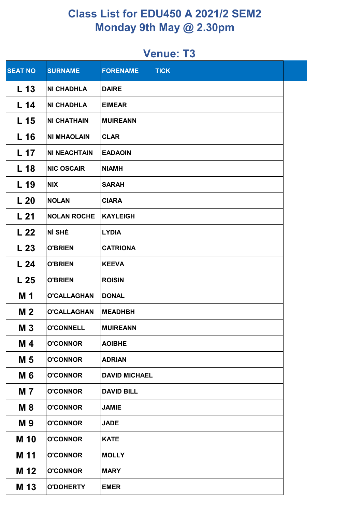| <b>SEAT NO</b>  | <b>SURNAME</b>      | <b>FORENAME</b>      | <b>TICK</b> |  |
|-----------------|---------------------|----------------------|-------------|--|
| L <sub>13</sub> | <b>NI CHADHLA</b>   | <b>DAIRE</b>         |             |  |
| L <sub>14</sub> | <b>NI CHADHLA</b>   | <b>EIMEAR</b>        |             |  |
| L <sub>15</sub> | <b>NI CHATHAIN</b>  | <b>MUIREANN</b>      |             |  |
| L <sub>16</sub> | <b>NI MHAOLAIN</b>  | <b>CLAR</b>          |             |  |
| L 17            | <b>NI NEACHTAIN</b> | <b>EADAOIN</b>       |             |  |
| L <sub>18</sub> | <b>NIC OSCAIR</b>   | <b>NIAMH</b>         |             |  |
| L <sub>19</sub> | <b>NIX</b>          | <b>SARAH</b>         |             |  |
| L <sub>20</sub> | <b>NOLAN</b>        | <b>CIARA</b>         |             |  |
| L <sub>21</sub> | <b>NOLAN ROCHE</b>  | <b>KAYLEIGH</b>      |             |  |
| L <sub>22</sub> | NÍ SHÉ              | <b>LYDIA</b>         |             |  |
| L <sub>23</sub> | <b>O'BRIEN</b>      | <b>CATRIONA</b>      |             |  |
| L <sub>24</sub> | <b>O'BRIEN</b>      | <b>KEEVA</b>         |             |  |
| L <sub>25</sub> | <b>O'BRIEN</b>      | <b>ROISIN</b>        |             |  |
| M 1             | <b>O'CALLAGHAN</b>  | <b>DONAL</b>         |             |  |
| M <sub>2</sub>  | <b>O'CALLAGHAN</b>  | <b>MEADHBH</b>       |             |  |
| <b>M3</b>       | <b>O'CONNELL</b>    | <b>MUIREANN</b>      |             |  |
| M 4             | <b>O'CONNOR</b>     | <b>AOIBHE</b>        |             |  |
| M 5             | <b>O'CONNOR</b>     | <b>ADRIAN</b>        |             |  |
| M 6             | <b>O'CONNOR</b>     | <b>DAVID MICHAEL</b> |             |  |
| M 7             | <b>O'CONNOR</b>     | <b>DAVID BILL</b>    |             |  |
| <b>M8</b>       | <b>O'CONNOR</b>     | <b>JAMIE</b>         |             |  |
| M 9             | <b>O'CONNOR</b>     | <b>JADE</b>          |             |  |
| <b>M</b> 10     | <b>O'CONNOR</b>     | <b>KATE</b>          |             |  |
| M 11            | <b>O'CONNOR</b>     | <b>MOLLY</b>         |             |  |
| M 12            | <b>O'CONNOR</b>     | <b>MARY</b>          |             |  |
| M 13            | <b>O'DOHERTY</b>    | <b>EMER</b>          |             |  |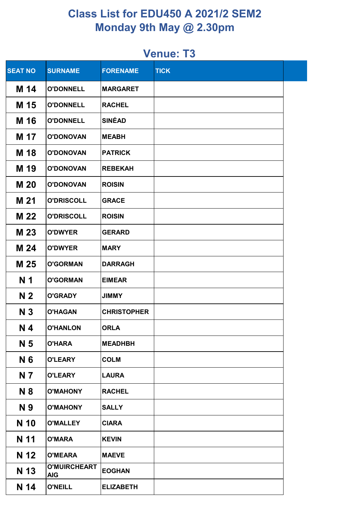| <b>SEAT NO</b> | <b>SURNAME</b>                    | <b>FORENAME</b>    | <b>TICK</b> |  |
|----------------|-----------------------------------|--------------------|-------------|--|
| M 14           | <b>O'DONNELL</b>                  | <b>MARGARET</b>    |             |  |
| M 15           | <b>O'DONNELL</b>                  | <b>RACHEL</b>      |             |  |
| M 16           | <b>O'DONNELL</b>                  | <b>SINÉAD</b>      |             |  |
| M 17           | <b>O'DONOVAN</b>                  | <b>MEABH</b>       |             |  |
| M 18           | <b>O'DONOVAN</b>                  | <b>PATRICK</b>     |             |  |
| M 19           | <b>O'DONOVAN</b>                  | <b>REBEKAH</b>     |             |  |
| <b>M20</b>     | <b>O'DONOVAN</b>                  | <b>ROISIN</b>      |             |  |
| M 21           | <b>O'DRISCOLL</b>                 | <b>GRACE</b>       |             |  |
| M 22           | <b>O'DRISCOLL</b>                 | <b>ROISIN</b>      |             |  |
| M 23           | <b>O'DWYER</b>                    | <b>GERARD</b>      |             |  |
| M 24           | <b>O'DWYER</b>                    | <b>MARY</b>        |             |  |
| M 25           | <b>O'GORMAN</b>                   | <b>DARRAGH</b>     |             |  |
| N <sub>1</sub> | <b>O'GORMAN</b>                   | <b>EIMEAR</b>      |             |  |
| N <sub>2</sub> | <b>O'GRADY</b>                    | <b>JIMMY</b>       |             |  |
| N <sub>3</sub> | <b>O'HAGAN</b>                    | <b>CHRISTOPHER</b> |             |  |
| N <sub>4</sub> | <b>O'HANLON</b>                   | <b>ORLA</b>        |             |  |
| N 5            | <b>O'HARA</b>                     | <b>MEADHBH</b>     |             |  |
| N 6            | <b>O'LEARY</b>                    | <b>COLM</b>        |             |  |
| N 7            | <b>O'LEARY</b>                    | <b>LAURA</b>       |             |  |
| N 8            | <b>O'MAHONY</b>                   | <b>RACHEL</b>      |             |  |
| N 9            | <b>O'MAHONY</b>                   | <b>SALLY</b>       |             |  |
| N 10           | <b>O'MALLEY</b>                   | <b>CIARA</b>       |             |  |
| N 11           | <b>O'MARA</b>                     | <b>KEVIN</b>       |             |  |
| N 12           | <b>O'MEARA</b>                    | <b>MAEVE</b>       |             |  |
| N 13           | <b>O'MUIRCHEART</b><br><b>AIG</b> | <b>EOGHAN</b>      |             |  |
| N 14           | <b>O'NEILL</b>                    | <b>ELIZABETH</b>   |             |  |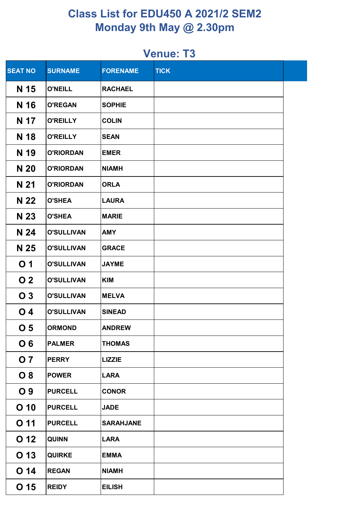| <b>SEAT NO</b>   | <b>SURNAME</b>    | <b>FORENAME</b>  | <b>TICK</b> |  |
|------------------|-------------------|------------------|-------------|--|
| N 15             | <b>O'NEILL</b>    | <b>RACHAEL</b>   |             |  |
| N 16             | <b>O'REGAN</b>    | <b>SOPHIE</b>    |             |  |
| N 17             | <b>O'REILLY</b>   | <b>COLIN</b>     |             |  |
| N 18             | <b>O'REILLY</b>   | <b>SEAN</b>      |             |  |
| N 19             | <b>O'RIORDAN</b>  | <b>EMER</b>      |             |  |
| N 20             | <b>O'RIORDAN</b>  | <b>NIAMH</b>     |             |  |
| N 21             | <b>O'RIORDAN</b>  | <b>ORLA</b>      |             |  |
| N 22             | <b>O'SHEA</b>     | <b>LAURA</b>     |             |  |
| N 23             | <b>O'SHEA</b>     | <b>MARIE</b>     |             |  |
| N 24             | <b>O'SULLIVAN</b> | <b>AMY</b>       |             |  |
| N 25             | <b>O'SULLIVAN</b> | <b>GRACE</b>     |             |  |
| O <sub>1</sub>   | <b>O'SULLIVAN</b> | <b>JAYME</b>     |             |  |
| O <sub>2</sub>   | <b>O'SULLIVAN</b> | <b>KIM</b>       |             |  |
| O <sub>3</sub>   | <b>O'SULLIVAN</b> | <b>MELVA</b>     |             |  |
| $\overline{O}$ 4 | <b>O'SULLIVAN</b> | <b>SINEAD</b>    |             |  |
| O <sub>5</sub>   | <b>ORMOND</b>     | <b>ANDREW</b>    |             |  |
| O <sub>6</sub>   | <b>PALMER</b>     | <b>THOMAS</b>    |             |  |
| <b>O</b> 7       | <b>PERRY</b>      | <b>LIZZIE</b>    |             |  |
| O <sub>8</sub>   | <b>POWER</b>      | <b>LARA</b>      |             |  |
| O <sub>9</sub>   | <b>PURCELL</b>    | <b>CONOR</b>     |             |  |
| $O$ 10           | <b>PURCELL</b>    | <b>JADE</b>      |             |  |
| O <sub>11</sub>  | <b>PURCELL</b>    | <b>SARAHJANE</b> |             |  |
| O 12             | <b>QUINN</b>      | <b>LARA</b>      |             |  |
| O 13             | <b>QUIRKE</b>     | <b>EMMA</b>      |             |  |
| O <sub>14</sub>  | <b>REGAN</b>      | <b>NIAMH</b>     |             |  |
| O <sub>15</sub>  | <b>REIDY</b>      | <b>EILISH</b>    |             |  |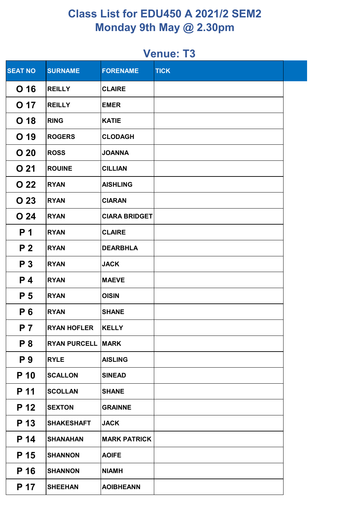| <b>SEAT NO</b>  | <b>SURNAME</b>      | <b>FORENAME</b>      | <b>TICK</b> |  |
|-----------------|---------------------|----------------------|-------------|--|
| O 16            | <b>REILLY</b>       | <b>CLAIRE</b>        |             |  |
| O 17            | <b>REILLY</b>       | <b>EMER</b>          |             |  |
| O 18            | <b>RING</b>         | <b>KATIE</b>         |             |  |
| O 19            | <b>ROGERS</b>       | <b>CLODAGH</b>       |             |  |
| O <sub>20</sub> | <b>ROSS</b>         | <b>JOANNA</b>        |             |  |
| O <sub>21</sub> | <b>ROUINE</b>       | <b>CILLIAN</b>       |             |  |
| O 22            | <b>RYAN</b>         | <b>AISHLING</b>      |             |  |
| O 23            | <b>RYAN</b>         | <b>CIARAN</b>        |             |  |
| O <sub>24</sub> | <b>RYAN</b>         | <b>CIARA BRIDGET</b> |             |  |
| P <sub>1</sub>  | <b>RYAN</b>         | <b>CLAIRE</b>        |             |  |
| P <sub>2</sub>  | <b>RYAN</b>         | <b>DEARBHLA</b>      |             |  |
| P <sub>3</sub>  | <b>RYAN</b>         | <b>JACK</b>          |             |  |
| <b>P4</b>       | <b>RYAN</b>         | <b>MAEVE</b>         |             |  |
| P <sub>5</sub>  | <b>RYAN</b>         | <b>OISIN</b>         |             |  |
| P 6             | <b>RYAN</b>         | <b>SHANE</b>         |             |  |
| <b>P</b> 7      | <b>RYAN HOFLER</b>  | <b>KELLY</b>         |             |  |
| P <sub>8</sub>  | <b>RYAN PURCELL</b> | <b>MARK</b>          |             |  |
| P 9             | <b>RYLE</b>         | <b>AISLING</b>       |             |  |
| P 10            | <b>SCALLON</b>      | <b>SINEAD</b>        |             |  |
| P 11            | <b>SCOLLAN</b>      | <b>SHANE</b>         |             |  |
| P 12            | <b>SEXTON</b>       | <b>GRAINNE</b>       |             |  |
| P 13            | <b>SHAKESHAFT</b>   | <b>JACK</b>          |             |  |
| P 14            | <b>SHANAHAN</b>     | <b>MARK PATRICK</b>  |             |  |
| P 15            | <b>SHANNON</b>      | <b>AOIFE</b>         |             |  |
| P 16            | <b>SHANNON</b>      | <b>NIAMH</b>         |             |  |
| P 17            | <b>SHEEHAN</b>      | <b>AOIBHEANN</b>     |             |  |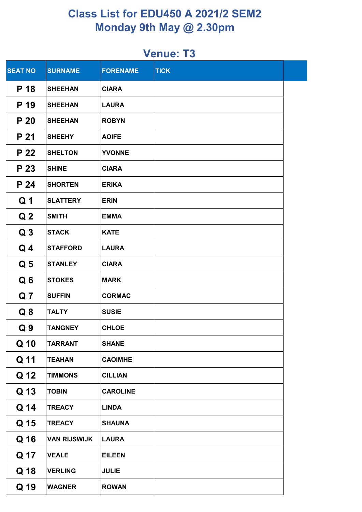| <b>SEAT NO</b> | <b>SURNAME</b>      | <b>FORENAME</b> | <b>TICK</b> |  |
|----------------|---------------------|-----------------|-------------|--|
| P 18           | <b>SHEEHAN</b>      | <b>CIARA</b>    |             |  |
| P 19           | <b>SHEEHAN</b>      | <b>LAURA</b>    |             |  |
| P 20           | <b>SHEEHAN</b>      | <b>ROBYN</b>    |             |  |
| P 21           | <b>SHEEHY</b>       | <b>AOIFE</b>    |             |  |
| P 22           | <b>SHELTON</b>      | <b>YVONNE</b>   |             |  |
| P 23           | <b>SHINE</b>        | <b>CIARA</b>    |             |  |
| P 24           | <b>SHORTEN</b>      | <b>ERIKA</b>    |             |  |
| Q <sub>1</sub> | <b>SLATTERY</b>     | <b>ERIN</b>     |             |  |
| Q <sub>2</sub> | <b>SMITH</b>        | <b>EMMA</b>     |             |  |
| Q <sub>3</sub> | <b>STACK</b>        | <b>KATE</b>     |             |  |
| $Q_4$          | <b>STAFFORD</b>     | <b>LAURA</b>    |             |  |
| Q <sub>5</sub> | <b>STANLEY</b>      | <b>CIARA</b>    |             |  |
| Q <sub>6</sub> | <b>STOKES</b>       | <b>MARK</b>     |             |  |
| Q <sub>7</sub> | <b>SUFFIN</b>       | <b>CORMAC</b>   |             |  |
| Q <sub>8</sub> | <b>TALTY</b>        | <b>SUSIE</b>    |             |  |
| Q <sub>9</sub> | <b>TANGNEY</b>      | <b>CHLOE</b>    |             |  |
| Q 10           | <b>TARRANT</b>      | <b>SHANE</b>    |             |  |
| Q 11           | <b>TEAHAN</b>       | <b>CAOIMHE</b>  |             |  |
| Q 12           | <b>TIMMONS</b>      | <b>CILLIAN</b>  |             |  |
| Q 13           | <b>TOBIN</b>        | <b>CAROLINE</b> |             |  |
| Q 14           | <b>TREACY</b>       | <b>LINDA</b>    |             |  |
| Q 15           | <b>TREACY</b>       | <b>SHAUNA</b>   |             |  |
| Q 16           | <b>VAN RIJSWIJK</b> | <b>LAURA</b>    |             |  |
| Q 17           | <b>VEALE</b>        | <b>EILEEN</b>   |             |  |
| Q 18           | <b>VERLING</b>      | <b>JULIE</b>    |             |  |
| Q 19           | <b>WAGNER</b>       | <b>ROWAN</b>    |             |  |